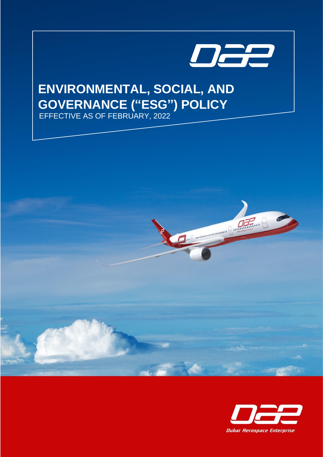

Manuscript de la Commune

# **ENVIRONMENTAL, SOCIAL, AND GOVERNANCE ("ESG") POLICY**

EFFECTIVE AS OF FEBRUARY, 2022

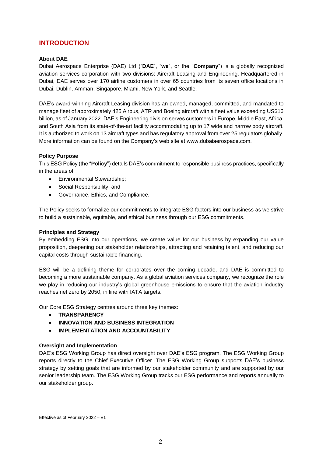### **INTRODUCTION**

#### **About DAE**

Dubai Aerospace Enterprise (DAE) Ltd ("**DAE**", "**we**", or the "**Company**") is a globally recognized aviation services corporation with two divisions: Aircraft Leasing and Engineering. Headquartered in Dubai, DAE serves over 170 airline customers in over 65 countries from its seven office locations in Dubai, Dublin, Amman, Singapore, Miami, New York, and Seattle.

DAE's award-winning Aircraft Leasing division has an owned, managed, committed, and mandated to manage fleet of approximately 425 Airbus, ATR and Boeing aircraft with a fleet value exceeding US\$16 billion, as of January 2022. DAE's Engineering division serves customers in Europe, Middle East, Africa, and South Asia from its state-of-the-art facility accommodating up to 17 wide and narrow body aircraft. It is authorized to work on 13 aircraft types and has regulatory approval from over 25 regulators globally. More information can be found on the Company's web site at www.dubaiaerospace.com.

#### **Policy Purpose**

This ESG Policy (the "**Policy**") details DAE's commitment to responsible business practices, specifically in the areas of:

- Environmental Stewardship;
- Social Responsibility; and
- Governance, Ethics, and Compliance.

The Policy seeks to formalize our commitments to integrate ESG factors into our business as we strive to build a sustainable, equitable, and ethical business through our ESG commitments.

#### **Principles and Strategy**

By embedding ESG into our operations, we create value for our business by expanding our value proposition, deepening our stakeholder relationships, attracting and retaining talent, and reducing our capital costs through sustainable financing.

ESG will be a defining theme for corporates over the coming decade, and DAE is committed to becoming a more sustainable company. As a global aviation services company, we recognize the role we play in reducing our industry's global greenhouse emissions to ensure that the aviation industry reaches net zero by 2050, in line with IATA targets.

Our Core ESG Strategy centres around three key themes:

- **TRANSPARENCY**
- **INNOVATION AND BUSINESS INTEGRATION**
- **IMPLEMENTATION AND ACCOUNTABILITY**

#### **Oversight and Implementation**

DAE's ESG Working Group has direct oversight over DAE's ESG program. The ESG Working Group reports directly to the Chief Executive Officer. The ESG Working Group supports DAE's business strategy by setting goals that are informed by our stakeholder community and are supported by our senior leadership team. The ESG Working Group tracks our ESG performance and reports annually to our stakeholder group.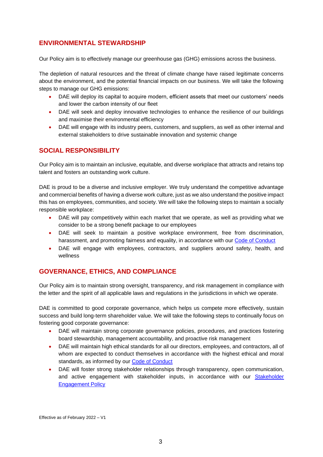## **ENVIRONMENTAL STEWARDSHIP**

Our Policy aim is to effectively manage our greenhouse gas (GHG) emissions across the business.

The depletion of natural resources and the threat of climate change have raised legitimate concerns about the environment, and the potential financial impacts on our business. We will take the following steps to manage our GHG emissions:

- DAE will deploy its capital to acquire modern, efficient assets that meet our customers' needs and lower the carbon intensity of our fleet
- DAE will seek and deploy innovative technologies to enhance the resilience of our buildings and maximise their environmental efficiency
- DAE will engage with its industry peers, customers, and suppliers, as well as other internal and external stakeholders to drive sustainable innovation and systemic change

### **SOCIAL RESPONSIBILITY**

Our Policy aim is to maintain an inclusive, equitable, and diverse workplace that attracts and retains top talent and fosters an outstanding work culture.

DAE is proud to be a diverse and inclusive employer. We truly understand the competitive advantage and commercial benefits of having a diverse work culture, just as we also understand the positive impact this has on employees, communities, and society. We will take the following steps to maintain a socially responsible workplace:

- DAE will pay competitively within each market that we operate, as well as providing what we consider to be a strong benefit package to our employees
- DAE will seek to maintain a positive workplace environment, free from discrimination, harassment, and promoting fairness and equality, in accordance with our [Code of Conduct](https://dubaiaerospace.com/wp-content/uploads/2021/06/DAE-Code-of-Conduct-Feb-2021.pdf)
- DAE will engage with employees, contractors, and suppliers around safety, health, and wellness

## **GOVERNANCE, ETHICS, AND COMPLIANCE**

Our Policy aim is to maintain strong oversight, transparency, and risk management in compliance with the letter and the spirit of all applicable laws and regulations in the jurisdictions in which we operate.

DAE is committed to good corporate governance, which helps us compete more effectively, sustain success and build long-term shareholder value. We will take the following steps to continually focus on fostering good corporate governance:

- DAE will maintain strong corporate governance policies, procedures, and practices fostering board stewardship, management accountability, and proactive risk management
- DAE will maintain high ethical standards for all our directors, employees, and contractors, all of whom are expected to conduct themselves in accordance with the highest ethical and moral standards, as informed by our [Code of Conduct](https://dubaiaerospace.com/wp-content/uploads/2021/06/DAE-Code-of-Conduct-Feb-2021.pdf)
- DAE will foster strong stakeholder relationships through transparency, open communication, and active engagement with stakeholder inputs, in accordance with our [Stakeholder](https://dubaiaerospace.com/wp-content/uploads/2022/02/DAE-Stakeholder-Policy-V1-Feb-2022.pdf)  [Engagement Policy](https://dubaiaerospace.com/wp-content/uploads/2022/02/DAE-Stakeholder-Policy-V1-Feb-2022.pdf)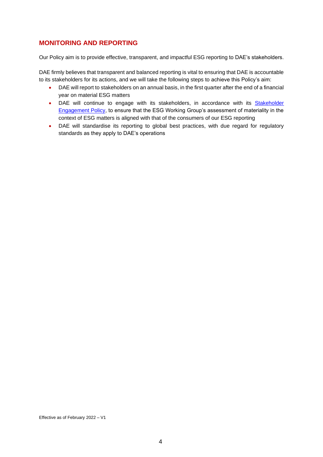### **MONITORING AND REPORTING**

Our Policy aim is to provide effective, transparent, and impactful ESG reporting to DAE's stakeholders.

DAE firmly believes that transparent and balanced reporting is vital to ensuring that DAE is accountable to its stakeholders for its actions, and we will take the following steps to achieve this Policy's aim:

- DAE will report to stakeholders on an annual basis, in the first quarter after the end of a financial year on material ESG matters
- DAE will continue to engage with its stakeholders, in accordance with its **Stakeholder** [Engagement Policy,](https://dubaiaerospace.com/wp-content/uploads/2022/02/DAE-Stakeholder-Policy-V1-Feb-2022.pdf) to ensure that the ESG Working Group's assessment of materiality in the context of ESG matters is aligned with that of the consumers of our ESG reporting
- DAE will standardise its reporting to global best practices, with due regard for regulatory standards as they apply to DAE's operations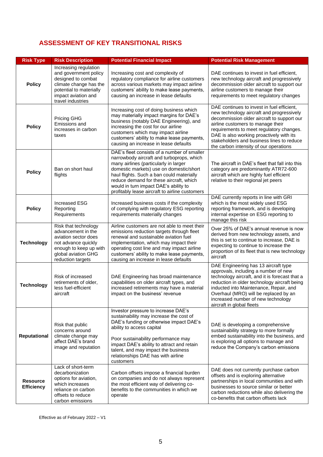## **ASSESSMENT OF KEY TRANSITIONAL RISKS**

| <b>Risk Type</b>                     | <b>Risk Description</b>                                                                                                                                               | <b>Potential Financial Impact</b>                                                                                                                                                                                                                                                                                                                               | <b>Potential Risk Management</b>                                                                                                                                                                                                                                                                                                                          |
|--------------------------------------|-----------------------------------------------------------------------------------------------------------------------------------------------------------------------|-----------------------------------------------------------------------------------------------------------------------------------------------------------------------------------------------------------------------------------------------------------------------------------------------------------------------------------------------------------------|-----------------------------------------------------------------------------------------------------------------------------------------------------------------------------------------------------------------------------------------------------------------------------------------------------------------------------------------------------------|
| <b>Policy</b>                        | Increasing regulation<br>and government policy<br>designed to combat<br>climate change has the<br>potential to materially<br>impact aviation and<br>travel industries | Increasing cost and complexity of<br>regulatory compliance for airline customers<br>across various markets may impact airline<br>customers' ability to make lease payments,<br>causing an increase in lease defaults                                                                                                                                            | DAE continues to invest in fuel efficient,<br>new technology aircraft and progressively<br>decommission older aircraft to support our<br>airline customers to manage their<br>requirements to meet regulatory changes                                                                                                                                     |
| <b>Policy</b>                        | <b>Pricing GHG</b><br>Emissions and<br>increases in carbon<br>taxes                                                                                                   | Increasing cost of doing business which<br>may materially impact margins for DAE's<br>business (notably DAE Engineering), and<br>increasing the cost for our airline<br>customers which may impact airline<br>customers' ability to make lease payments,<br>causing an increase in lease defaults                                                               | DAE continues to invest in fuel efficient,<br>new technology aircraft and progressively<br>decommission older aircraft to support our<br>airline customers to manage their<br>requirements to meet regulatory changes.<br>DAE is also working proactively with its<br>stakeholders and business lines to reduce<br>the carbon intensity of our operations |
| <b>Policy</b>                        | Ban on short haul<br>flights                                                                                                                                          | DAE's fleet consists of a number of smaller<br>narrowbody aircraft and turboprops, which<br>many airlines (particularly in larger<br>domestic markets) use on domestic/short<br>haul flights. Such a ban could materially<br>reduce demand for these aircraft, which<br>would in turn impact DAE's ability to<br>profitably lease aircraft to airline customers | The aircraft in DAE's fleet that fall into this<br>category are predominantly ATR72-600<br>aircraft which are highly fuel efficient<br>relative to their regional jet peers                                                                                                                                                                               |
| <b>Policy</b>                        | <b>Increased ESG</b><br>Reporting<br>Requirements                                                                                                                     | Increased business costs if the complexity<br>of complying with regulatory ESG reporting<br>requirements materially changes                                                                                                                                                                                                                                     | DAE currently reports in line with GRI<br>which is the most widely used ESG<br>reporting framework, and is developing<br>internal expertise on ESG reporting to<br>manage this risk                                                                                                                                                                       |
| <b>Technology</b>                    | Risk that technology<br>advancement in the<br>aviation sector does<br>not advance quickly<br>enough to keep up with<br>global aviation GHG<br>reduction targets       | Airline customers are not able to meet their<br>emissions reduction targets through fleet<br>renewal and sustainable aviation fuel<br>implementation, which may impact their<br>operating cost line and may impact airline<br>customers' ability to make lease payments,<br>causing an increase in lease defaults                                               | Over 25% of DAE's annual revenue is now<br>derived from new technology assets, and<br>this is set to continue to increase, DAE is<br>expecting to continue to increase the<br>proportion of its fleet that is new technology<br>aircraft                                                                                                                  |
| <b>Technology</b>                    | Risk of increased<br>retirements of older,<br>less fuel-efficient<br>aircraft                                                                                         | DAE Engineering has broad maintenance<br>capabilities on older aircraft types, and<br>increased retirements may have a material<br>impact on the business' revenue                                                                                                                                                                                              | DAE Engineering has 13 aircraft type<br>approvals, including a number of new<br>technology aircraft, and it is forecast that a<br>reduction in older technology aircraft being<br>inducted into Maintenance, Repair, and<br>Overhaul (MRO) will be replaced by an<br>increased number of new technology<br>aircraft in global fleets                      |
| <b>Reputational</b>                  | Risk that public<br>concerns around<br>climate change may<br>affect DAE's brand<br>image and reputation                                                               | Investor pressure to increase DAE's<br>sustainability may increase the cost of<br>DAE's funding or otherwise impact DAE's<br>ability to access capital<br>Poor sustainability performance may<br>impact DAE's ability to attract and retain<br>talent, and may impact the business<br>relationships DAE has with airline<br>customers                           | DAE is developing a comprehensive<br>sustainability strategy to more formally<br>embed sustainability into the business, and<br>is exploring all options to manage and<br>reduce the Company's carbon emissions                                                                                                                                           |
| <b>Resource</b><br><b>Efficiency</b> | Lack of short-term<br>decarbonization<br>options for aviation,<br>which increases<br>reliance on carbon<br>offsets to reduce<br>carbon emissions                      | Carbon offsets impose a financial burden<br>on companies and do not always represent<br>the most efficient way of delivering co-<br>benefits to the communities in which we<br>operate                                                                                                                                                                          | DAE does not currently purchase carbon<br>offsets and is exploring alternative<br>partnerships in local communities and with<br>businesses to source similar or better<br>carbon reductions while also delivering the<br>co-benefits that carbon offsets lack                                                                                             |